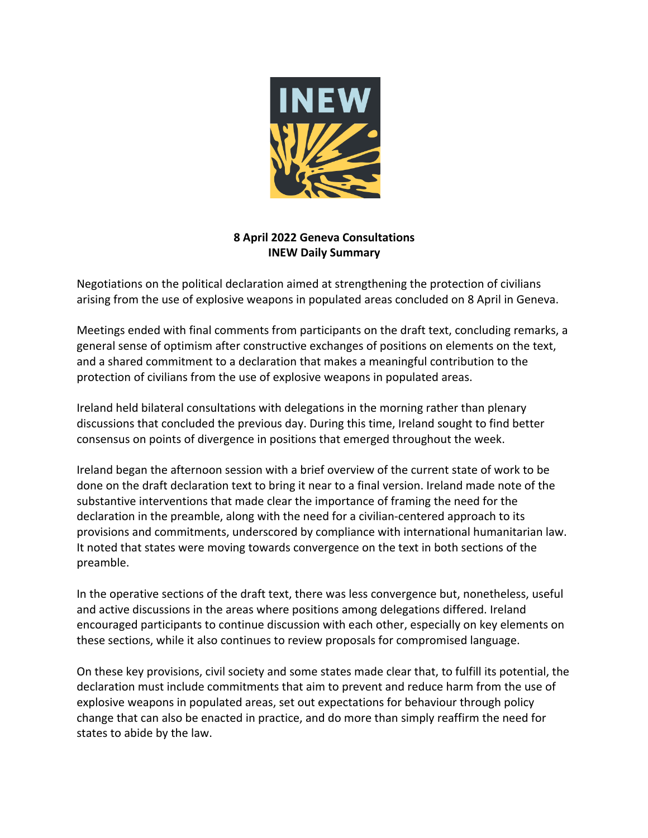

## **8 April 2022 Geneva Consultations INEW Daily Summary**

Negotiations on the political declaration aimed at strengthening the protection of civilians arising from the use of explosive weapons in populated areas concluded on 8 April in Geneva.

Meetings ended with final comments from participants on the draft text, concluding remarks, a general sense of optimism after constructive exchanges of positions on elements on the text, and a shared commitment to a declaration that makes a meaningful contribution to the protection of civilians from the use of explosive weapons in populated areas.

Ireland held bilateral consultations with delegations in the morning rather than plenary discussions that concluded the previous day. During this time, Ireland sought to find better consensus on points of divergence in positions that emerged throughout the week.

Ireland began the afternoon session with a brief overview of the current state of work to be done on the draft declaration text to bring it near to a final version. Ireland made note of the substantive interventions that made clear the importance of framing the need for the declaration in the preamble, along with the need for a civilian-centered approach to its provisions and commitments, underscored by compliance with international humanitarian law. It noted that states were moving towards convergence on the text in both sections of the preamble.

In the operative sections of the draft text, there was less convergence but, nonetheless, useful and active discussions in the areas where positions among delegations differed. Ireland encouraged participants to continue discussion with each other, especially on key elements on these sections, while it also continues to review proposals for compromised language.

On these key provisions, civil society and some states made clear that, to fulfill its potential, the declaration must include commitments that aim to prevent and reduce harm from the use of explosive weapons in populated areas, set out expectations for behaviour through policy change that can also be enacted in practice, and do more than simply reaffirm the need for states to abide by the law.